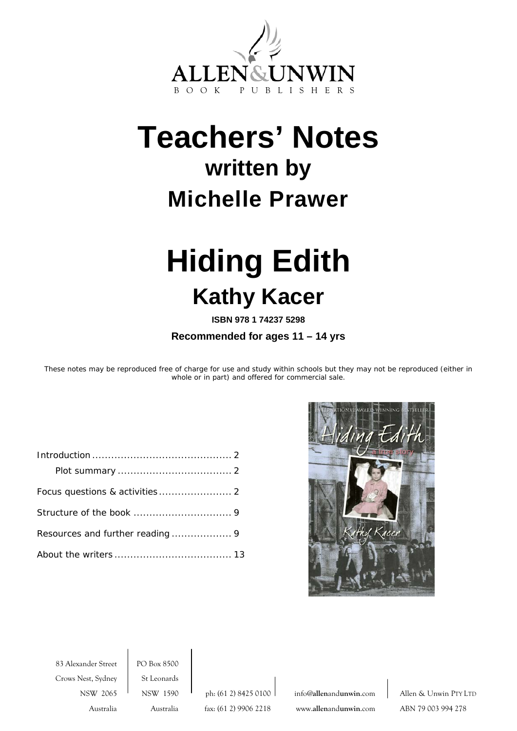<span id="page-0-0"></span>

# **Teachers' Notes written by Michelle Prawer**

# **Hiding Edith Kathy Kacer**

**ISBN 978 1 74237 5298** 

**Recommended for ages 11 – 14 yrs** 

These notes may be reproduced free of charge for use and study within schools but they may not be reproduced (either in whole or in part) and offered for commercial sale.



83 Alexander Street PO Box 8500 Crows Nest, Sydney | St Leonards

Australia Australia fax: (61 2) 9906 2218 www.**allen**and**unwin**.com ABN 79 003 994 278

NSW 2065 NSW 1590 ph: (61 2) 8425 0100 info@allenandunwin.com Allen & Unwin PTY LTD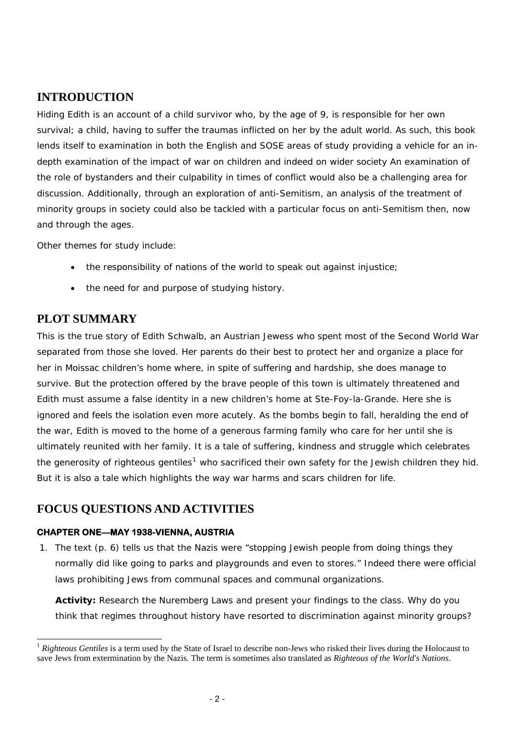# **INTRODUCTION**

Hiding Edith is an account of a child survivor who, by the age of 9, is responsible for her own survival; a child, having to suffer the traumas inflicted on her by the adult world. As such, this book lends itself to examination in both the English and SOSE areas of study providing a vehicle for an indepth examination of the impact of war on children and indeed on wider society An examination of the role of bystanders and their culpability in times of conflict would also be a challenging area for discussion. Additionally, through an exploration of anti-Semitism, an analysis of the treatment of minority groups in society could also be tackled with a particular focus on anti-Semitism then, now and through the ages.

Other themes for study include:

- the responsibility of nations of the world to speak out against injustice;
- the need for and purpose of studying history.

# **PLOT SUMMARY**

l

This is the true story of Edith Schwalb, an Austrian Jewess who spent most of the Second World War separated from those she loved. Her parents do their best to protect her and organize a place for her in Moissac children's home where, in spite of suffering and hardship, she does manage to survive. But the protection offered by the brave people of this town is ultimately threatened and Edith must assume a false identity in a new children's home at Ste-Foy-la-Grande. Here she is ignored and feels the isolation even more acutely. As the bombs begin to fall, heralding the end of the war, Edith is moved to the home of a generous farming family who care for her until she is ultimately reunited with her family. It is a tale of suffering, kindness and struggle which celebrates the generosity of righteous gentiles<sup>[1](#page-1-0)</sup> who sacrificed their own safety for the Jewish children they hid. But it is also a tale which highlights the way war harms and scars children for life.

# **FOCUS QUESTIONS AND ACTIVITIES**

# **CHAPTER ONE—MAY 1938-VIENNA, AUSTRIA**

1. The text (p. 6) tells us that the Nazis were "stopping Jewish people from doing things they normally did like going to parks and playgrounds and even to stores." Indeed there were official laws prohibiting Jews from communal spaces and communal organizations.

**Activity:** Research the Nuremberg Laws and present your findings to the class. Why do you think that regimes throughout history have resorted to discrimination against minority groups?

<span id="page-1-0"></span><sup>1</sup> *Righteous Gentiles* is a term used by the State of Israel to describe non-Jews who risked their lives during the Holocaust to save Jews from extermination by the Nazis. The term is sometimes also translated as *Righteous of the World's Nations*.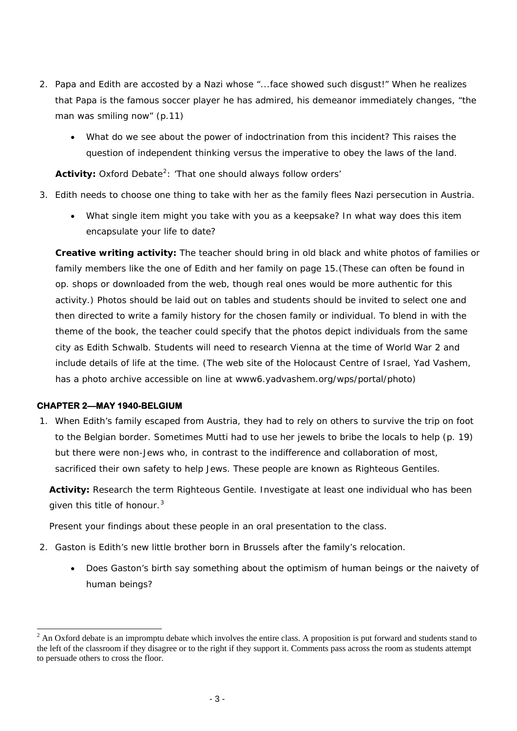- 2. Papa and Edith are accosted by a Nazi whose "...face showed such disgust!" When he realizes that Papa is the famous soccer player he has admired, his demeanor immediately changes, "the man was smiling now" (p.11)
	- What do we see about the power of indoctrination from this incident? This raises the question of independent thinking versus the imperative to obey the laws of the land.

Activity: Oxford Debate<sup>[2](#page-2-0)</sup>: 'That one should always follow orders'

- 3. Edith needs to choose one thing to take with her as the family flees Nazi persecution in Austria.
	- What single item might you take with you as a keepsake? In what way does this item encapsulate your life to date?

**Creative writing activity:** The teacher should bring in old black and white photos of families or family members like the one of Edith and her family on page 15.(These can often be found in op. shops or downloaded from the web, though real ones would be more authentic for this activity.) Photos should be laid out on tables and students should be invited to select one and then directed to write a family history for the chosen family or individual. To blend in with the theme of the book, the teacher could specify that the photos depict individuals from the same city as Edith Schwalb. Students will need to research Vienna at the time of World War 2 and include details of life at the time. (The web site of the Holocaust Centre of Israel, Yad Vashem, has a photo archive accessible on line at www6.yadvashem.org/wps/portal/photo)

### **CHAPTER 2—MAY 1940-BELGIUM**

l

1. When Edith's family escaped from Austria, they had to rely on others to survive the trip on foot to the Belgian border. Sometimes Mutti had to use her jewels to bribe the locals to help (p. 19) but there were non-Jews who, in contrast to the indifference and collaboration of most, sacrificed their own safety to help Jews. These people are known as Righteous Gentiles.

**Activity:** Research the term Righteous Gentile. Investigate at least one individual who has been given this title of honour. $3$ 

Present your findings about these people in an oral presentation to the class.

- 2. Gaston is Edith's new little brother born in Brussels after the family's relocation.
	- Does Gaston's birth say something about the optimism of human beings or the naivety of human beings?

<span id="page-2-1"></span><span id="page-2-0"></span> $2^2$  An Oxford debate is an impromptu debate which involves the entire class. A proposition is put forward and students stand to the left of the classroom if they disagree or to the right if they support it. Comments pass across the room as students attempt to persuade others to cross the floor.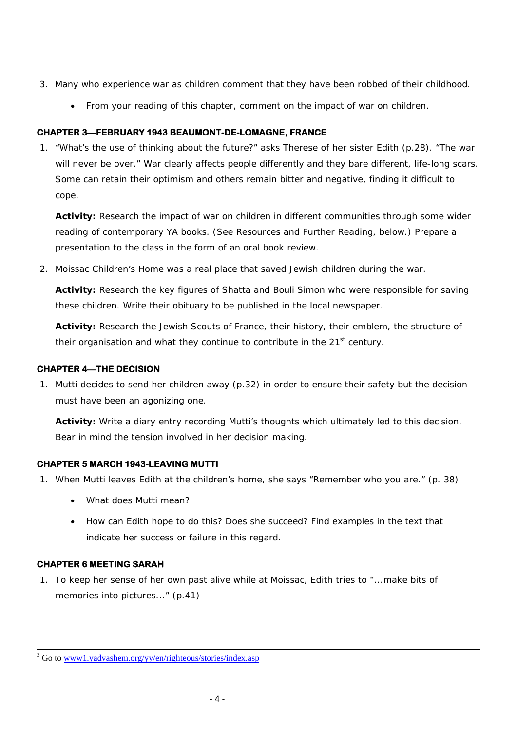- 3. Many who experience war as children comment that they have been robbed of their childhood.
	- From your reading of this chapter, comment on the impact of war on children.

# **CHAPTER 3—FEBRUARY 1943 BEAUMONT-DE-LOMAGNE, FRANCE**

1. "What's the use of thinking about the future?" asks Therese of her sister Edith (p.28). "The war will never be over." War clearly affects people differently and they bare different, life-long scars. Some can retain their optimism and others remain bitter and negative, finding it difficult to cope.

**Activity:** Research the impact of war on children in different communities through some wider reading of contemporary YA books. (See Resources and Further Reading, below.) Prepare a presentation to the class in the form of an oral book review.

2. Moissac Children's Home was a real place that saved Jewish children during the war.

**Activity:** Research the key figures of Shatta and Bouli Simon who were responsible for saving these children. Write their obituary to be published in the local newspaper.

**Activity:** Research the Jewish Scouts of France, their history, their emblem, the structure of their organisation and what they continue to contribute in the 21<sup>st</sup> century.

# **CHAPTER 4—THE DECISION**

1. Mutti decides to send her children away (p.32) in order to ensure their safety but the decision must have been an agonizing one.

**Activity:** Write a diary entry recording Mutti's thoughts which ultimately led to this decision. Bear in mind the tension involved in her decision making.

# **CHAPTER 5 MARCH 1943-LEAVING MUTTI**

- 1. When Mutti leaves Edith at the children's home, she says "Remember who you are." (p. 38)
	- What does Mutti mean?
	- How can Edith hope to do this? Does she succeed? Find examples in the text that indicate her success or failure in this regard.

# **CHAPTER 6 MEETING SARAH**

l

1. To keep her sense of her own past alive while at Moissac, Edith tries to "...make bits of memories into pictures..." (p.41)

<sup>&</sup>lt;sup>3</sup> Go to www1.yadvashem.org/yy/en/righteous/stories/index.asp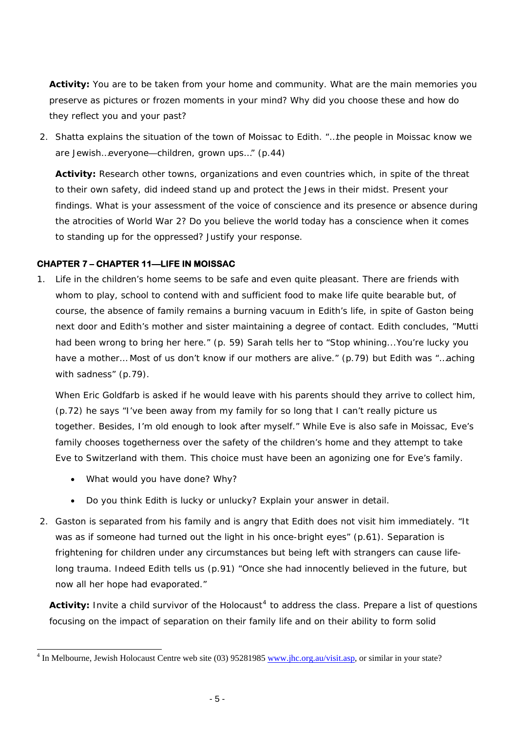**Activity:** You are to be taken from your home and community. What are the main memories you preserve as pictures or frozen moments in your mind? Why did you choose these and how do they reflect you and your past?

2. Shatta explains the situation of the town of Moissac to Edith. "…the people in Moissac know we are Jewish…everyone—children, grown ups…" (p.44)

**Activity:** Research other towns, organizations and even countries which, in spite of the threat to their own safety, did indeed stand up and protect the Jews in their midst. Present your findings. What is your assessment of the voice of conscience and its presence or absence during the atrocities of World War 2? Do you believe the world today has a conscience when it comes to standing up for the oppressed? Justify your response.

# **CHAPTER 7 – CHAPTER 11—LIFE IN MOISSAC**

1. Life in the children's home seems to be safe and even quite pleasant. There are friends with whom to play, school to contend with and sufficient food to make life quite bearable but, of course, the absence of family remains a burning vacuum in Edith's life, in spite of Gaston being next door and Edith's mother and sister maintaining a degree of contact. Edith concludes, "Mutti had been wrong to bring her here." (p. 59) Sarah tells her to "Stop whining...You're lucky you have a mother... Most of us don't know if our mothers are alive." (p.79) but Edith was "...aching with sadness" (p.79).

When Eric Goldfarb is asked if he would leave with his parents should they arrive to collect him, (p.72) he says "I've been away from my family for so long that I can't really picture us together. Besides, I'm old enough to look after myself." While Eve is also safe in Moissac, Eve's family chooses togetherness over the safety of the children's home and they attempt to take Eve to Switzerland with them. This choice must have been an agonizing one for Eve's family.

• What would you have done? Why?

l

- Do you think Edith is lucky or unlucky? Explain your answer in detail.
- 2. Gaston is separated from his family and is angry that Edith does not visit him immediately. "It was as if someone had turned out the light in his once-bright eyes" (p.61). Separation is frightening for children under any circumstances but being left with strangers can cause lifelong trauma. Indeed Edith tells us (p.91) "Once she had innocently believed in the future, but now all her hope had evaporated."

Activity: Invite a child survivor of the Holocaust<sup>[4](#page-4-0)</sup> to address the class. Prepare a list of questions focusing on the impact of separation on their family life and on their ability to form solid

<span id="page-4-0"></span><sup>&</sup>lt;sup>4</sup> In Melbourne, Jewish Holocaust Centre web site (03) 95281985 [www.jhc.org.au/visit.asp,](http://www.jhc.org.au/visit.asp) or similar in your state?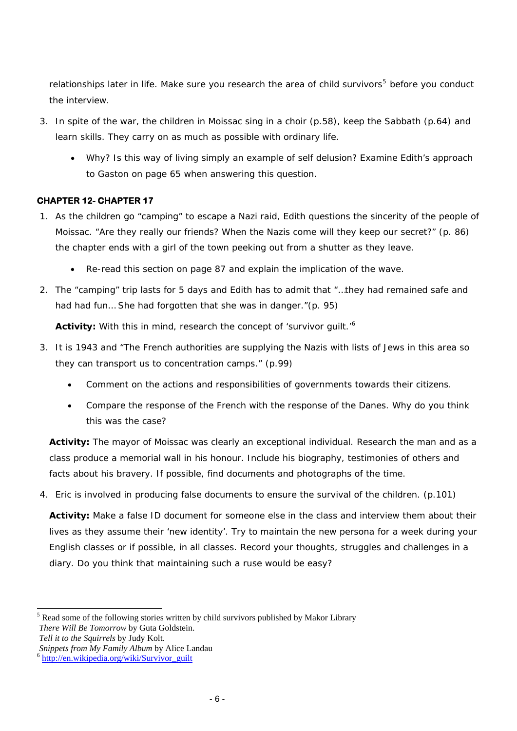relationships later in life. Make sure you research the area of child survivors<sup>[5](#page-5-0)</sup> before you conduct the interview.

- 3. In spite of the war, the children in Moissac sing in a choir (p.58), keep the Sabbath (p.64) and learn skills. They carry on as much as possible with ordinary life.
	- Why? Is this way of living simply an example of self delusion? Examine Edith's approach to Gaston on page 65 when answering this question.

# **CHAPTER 12- CHAPTER 17**

- 1. As the children go "camping" to escape a Nazi raid, Edith questions the sincerity of the people of Moissac. "Are they really our friends? When the Nazis come will they keep our secret?" (p. 86) the chapter ends with a girl of the town peeking out from a shutter as they leave.
	- Re-read this section on page 87 and explain the implication of the wave.
- 2. The "camping" trip lasts for 5 days and Edith has to admit that "…they had remained safe and had had fun… She had forgotten that she was in danger."(p. 95)

**Activity:** With this in mind, research the concept of 'survivor guilt.'[6](#page-5-1)

- 3. It is 1943 and "The French authorities are supplying the Nazis with lists of Jews in this area so they can transport us to concentration camps." (p.99)
	- Comment on the actions and responsibilities of governments towards their citizens.
	- Compare the response of the French with the response of the Danes. Why do you think this was the case?

**Activity:** The mayor of Moissac was clearly an exceptional individual. Research the man and as a class produce a memorial wall in his honour. Include his biography, testimonies of others and facts about his bravery. If possible, find documents and photographs of the time.

4. Eric is involved in producing false documents to ensure the survival of the children. (p.101)

**Activity:** Make a false ID document for someone else in the class and interview them about their lives as they assume their 'new identity'. Try to maintain the new persona for a week during your English classes or if possible, in all classes. Record your thoughts, struggles and challenges in a diary. Do you think that maintaining such a ruse would be easy?

l

<span id="page-5-0"></span><sup>&</sup>lt;sup>5</sup> Read some of the following stories written by child survivors published by Makor Library

*There Will Be Tomorrow* by Guta Goldstein.

*Tell it to the Squirrels* by Judy Kolt.

*Snippets from My Family Album* by Alice Landau <sup>6</sup> http://en.wikipedia.org/wiki/Survivor\_guilt

<span id="page-5-1"></span>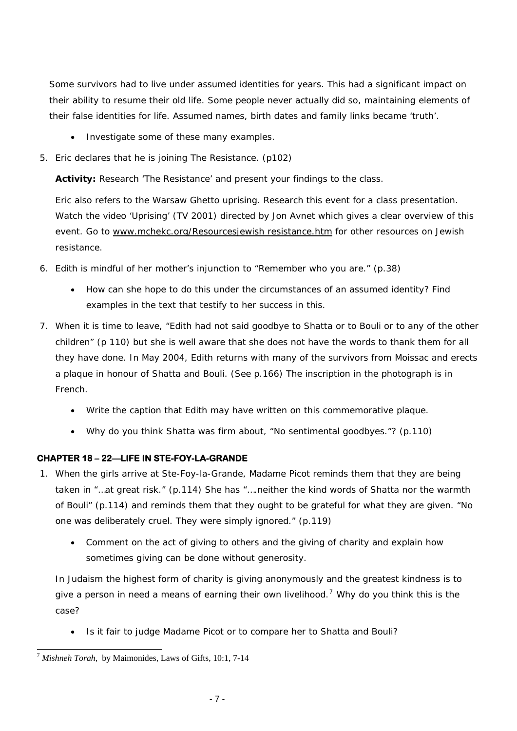Some survivors had to live under assumed identities for years. This had a significant impact on their ability to resume their old life. Some people never actually did so, maintaining elements of their false identities for life. Assumed names, birth dates and family links became 'truth'.

- Investigate some of these many examples.
- 5. Eric declares that he is joining The Resistance. (p102)

**Activity:** Research 'The Resistance' and present your findings to the class.

Eric also refers to the Warsaw Ghetto uprising. Research this event for a class presentation. Watch the video 'Uprising' (TV 2001) directed by Jon Avnet which gives a clear overview of this event. Go to [www.mchekc.org/Resourcesjewish resistance.htm](http://www.mchekc.org/Resourcesjewish%20resistance.htm) for other resources on Jewish resistance.

- 6. Edith is mindful of her mother's injunction to "Remember who you are." (p.38)
	- How can she hope to do this under the circumstances of an assumed identity? Find examples in the text that testify to her success in this.
- 7. When it is time to leave, "Edith had not said goodbye to Shatta or to Bouli or to any of the other children" (p 110) but she is well aware that she does not have the words to thank them for all they have done. In May 2004, Edith returns with many of the survivors from Moissac and erects a plaque in honour of Shatta and Bouli. (See p.166) The inscription in the photograph is in French.
	- Write the caption that Edith may have written on this commemorative plaque.
	- Why do you think Shatta was firm about, "No sentimental goodbyes."? (p.110)

# **CHAPTER 18 – 22—LIFE IN STE-FOY-LA-GRANDE**

- 1. When the girls arrive at Ste-Foy-la-Grande, Madame Picot reminds them that they are being taken in "…at great risk." (p.114) She has "….neither the kind words of Shatta nor the warmth of Bouli" (p.114) and reminds them that they ought to be grateful for what they are given. "No one was deliberately cruel. They were simply ignored." (p.119)
	- Comment on the act of giving to others and the giving of charity and explain how sometimes giving can be done without generosity.

In Judaism the highest form of charity is giving anonymously and the greatest kindness is to give a person in need a means of earning their own livelihood.<sup>[7](#page-6-0)</sup> Why do you think this is the case?

• Is it fair to judge Madame Picot or to compare her to Shatta and Bouli?

l

<span id="page-6-0"></span><sup>7</sup> *Mishneh Torah,* by Maimonides, Laws of Gifts, 10:1, 7-14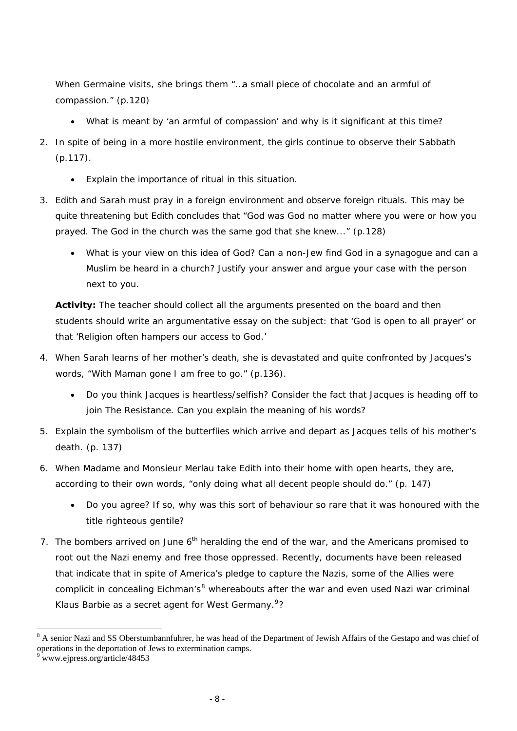When Germaine visits, she brings them "…a small piece of chocolate and an armful of compassion." (p.120)

- What is meant by 'an armful of compassion' and why is it significant at this time?
- 2. In spite of being in a more hostile environment, the girls continue to observe their Sabbath (p.117).
	- Explain the importance of ritual in this situation.
- 3. Edith and Sarah must pray in a foreign environment and observe foreign rituals. This may be quite threatening but Edith concludes that "God was God no matter where you were or how you prayed. The God in the church was the same god that she knew..." (p.128)
	- What is your view on this idea of God? Can a non-Jew find God in a synagogue and can a Muslim be heard in a church? Justify your answer and argue your case with the person next to you.

**Activity:** The teacher should collect all the arguments presented on the board and then students should write an argumentative essay on the subject: that 'God is open to all prayer' or that 'Religion often hampers our access to God.'

- 4. When Sarah learns of her mother's death, she is devastated and quite confronted by Jacques's words, "With Maman gone I am free to go." (p.136).
	- Do you think Jacques is heartless/selfish? Consider the fact that Jacques is heading off to join The Resistance. Can you explain the meaning of his words?
- 5. Explain the symbolism of the butterflies which arrive and depart as Jacques tells of his mother's death. (p. 137)
- 6. When Madame and Monsieur Merlau take Edith into their home with open hearts, they are, according to their own words, "only doing what all decent people should do." (p. 147)
	- Do you agree? If so, why was this sort of behaviour so rare that it was honoured with the title *righteous gentile*?
- 7. The bombers arrived on June  $6<sup>th</sup>$  heralding the end of the war, and the Americans promised to root out the Nazi enemy and free those oppressed. Recently, documents have been released that indicate that in spite of America's pledge to capture the Nazis, some of the Allies were complicit in concealing Eichman's<sup>[8](#page-7-0)</sup> whereabouts after the war and even used Nazi war criminal Klaus Barbie as a secret agent for West Germany.<sup>[9](#page-7-1)</sup>?

l

<span id="page-7-0"></span><sup>&</sup>lt;sup>8</sup> A senior Nazi and SS Oberstumbannfuhrer, he was head of the Department of Jewish Affairs of the Gestapo and was chief of operations in the deportation of Jews to extermination camps.

<span id="page-7-1"></span><sup>&</sup>lt;sup>9</sup> www.ejpress.org/article/48453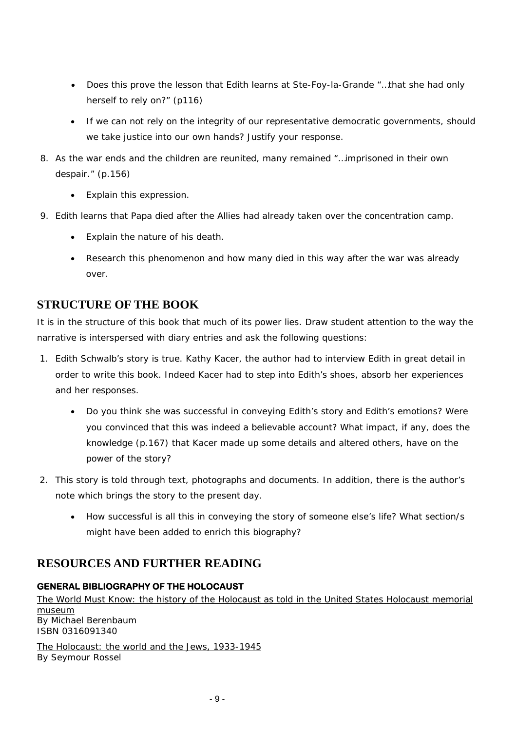- Does this prove the lesson that Edith learns at Ste-Foy-la-Grande "…that she had only herself to rely on?" (p116)
- If we can not rely on the integrity of our representative democratic governments, should we take justice into our own hands? Justify your response.
- 8. As the war ends and the children are reunited, many remained "…imprisoned in their own despair." (p.156)
	- Explain this expression.
- 9. Edith learns that Papa died after the Allies had already taken over the concentration camp.
	- Explain the nature of his death.
	- Research this phenomenon and how many died in this way after the war was already over.

# **STRUCTURE OF THE BOOK**

It is in the structure of this book that much of its power lies. Draw student attention to the way the narrative is interspersed with diary entries and ask the following questions:

- 1. Edith Schwalb's story is true. Kathy Kacer, the author had to interview Edith in great detail in order to write this book. Indeed Kacer had to step into Edith's shoes, absorb her experiences and her responses.
	- Do you think she was successful in conveying Edith's story and Edith's emotions? Were you convinced that this was indeed a believable account? What impact, if any, does the knowledge (p.167) that Kacer made up some details and altered others, have on the power of the story?
- 2. This story is told through text, photographs and documents. In addition, there is the author's note which brings the story to the present day.
	- How successful is all this in conveying the story of someone else's life? What section/s might have been added to enrich this biography?

# **RESOURCES AND FURTHER READING**

# **GENERAL BIBLIOGRAPHY OF THE HOLOCAUST**

The World Must Know: the history of the Holocaust as told in the United States Holocaust memorial museum By Michael Berenbaum ISBN 0316091340

The Holocaust: the world and the Jews, 1933-1945 By Seymour Rossel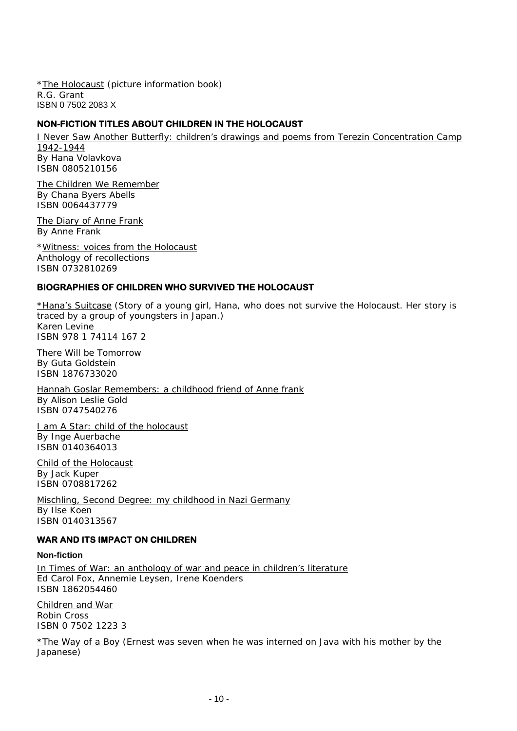\*The Holocaust (picture information book) R.G. Grant ISBN 0 7502 2083 X

# **NON-FICTION TITLES ABOUT CHILDREN IN THE HOLOCAUST**

I Never Saw Another Butterfly: children's drawings and poems from Terezin Concentration Camp 1942-1944 By Hana Volavkova ISBN 0805210156

The Children We Remember By Chana Byers Abells ISBN 0064437779

The Diary of Anne Frank By Anne Frank

\*Witness: voices from the Holocaust Anthology of recollections ISBN 0732810269

# **BIOGRAPHIES OF CHILDREN WHO SURVIVED THE HOLOCAUST**

\*Hana's Suitcase (Story of a young girl, Hana, who does not survive the Holocaust. Her story is traced by a group of youngsters in Japan.) Karen Levine ISBN 978 1 74114 167 2

There Will be Tomorrow By Guta Goldstein ISBN 1876733020

Hannah Goslar Remembers: a childhood friend of Anne frank By Alison Leslie Gold ISBN 0747540276

I am A Star: child of the holocaust By Inge Auerbache ISBN 0140364013

Child of the Holocaust By Jack Kuper ISBN 0708817262

Mischling, Second Degree: my childhood in Nazi Germany By Ilse Koen ISBN 0140313567

# **WAR AND ITS IMPACT ON CHILDREN**

### **Non-fiction**

In Times of War: an anthology of war and peace in children's literature Ed Carol Fox, Annemie Leysen, Irene Koenders ISBN 1862054460

Children and War Robin Cross ISBN 0 7502 1223 3

\*The Way of a Boy (Ernest was seven when he was interned on Java with his mother by the Japanese)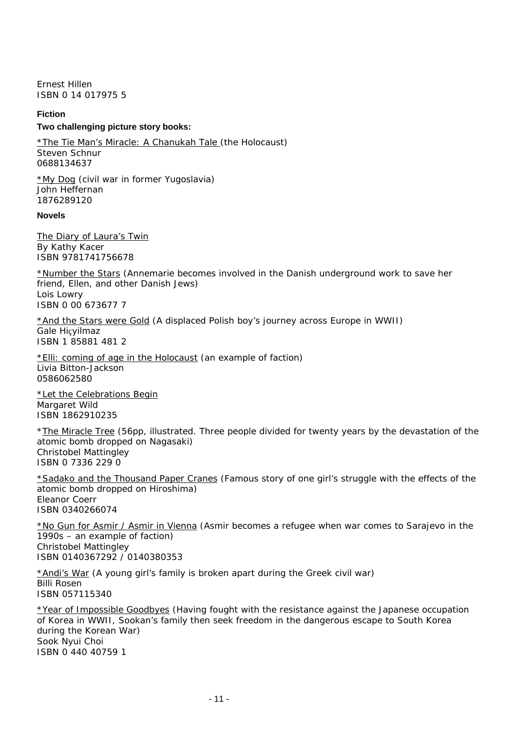Ernest Hillen ISBN 0 14 017975 5

### **Fiction**

#### **Two challenging picture story books:**

\*The Tie Man's Miracle: A Chanukah Tale (the Holocaust) Steven Schnur 0688134637

\*My Dog (civil war in former Yugoslavia) John Heffernan 1876289120

### **Novels**

The Diary of Laura's Twin By Kathy Kacer ISBN 9781741756678

\*Number the Stars (Annemarie becomes involved in the Danish underground work to save her friend, Ellen, and other Danish Jews) Lois Lowry ISBN 0 00 673677 7

\*And the Stars were Gold (A displaced Polish boy's journey across Europe in WWII) Gale Hiçyilmaz ISBN 1 85881 481 2

\*Elli: coming of age in the Holocaust (an example of faction) Livia Bitton-Jackson 0586062580

\*Let the Celebrations Begin Margaret Wild ISBN 1862910235

\*The Miracle Tree (56pp, illustrated. Three people divided for twenty years by the devastation of the atomic bomb dropped on Nagasaki) Christobel Mattingley ISBN 0 7336 229 0

\*Sadako and the Thousand Paper Cranes (Famous story of one girl's struggle with the effects of the atomic bomb dropped on Hiroshima) Eleanor Coerr ISBN 0340266074

\*No Gun for Asmir / Asmir in Vienna (Asmir becomes a refugee when war comes to Sarajevo in the 1990s – an example of faction) Christobel Mattingley ISBN 0140367292 / 0140380353

\*Andi's War (A young girl's family is broken apart during the Greek civil war) Billi Rosen ISBN 057115340

\*Year of Impossible Goodbyes (Having fought with the resistance against the Japanese occupation of Korea in WWII, Sookan's family then seek freedom in the dangerous escape to South Korea during the Korean War) Sook Nyui Choi ISBN 0 440 40759 1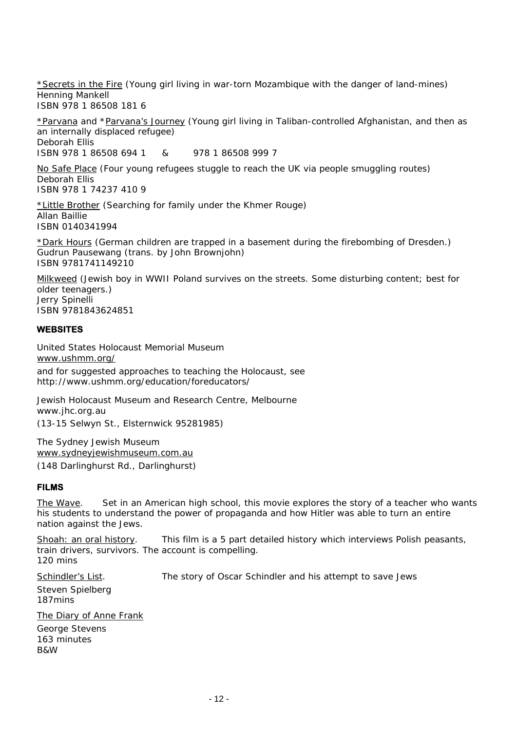\*Secrets in the Fire (Young girl living in war-torn Mozambique with the danger of land-mines) Henning Mankell ISBN 978 1 86508 181 6

\*Parvana and \*Parvana's Journey (Young girl living in Taliban-controlled Afghanistan, and then as an internally displaced refugee) Deborah Ellis ISBN 978 1 86508 694 1 & 978 1 86508 999 7

No Safe Place (Four young refugees stuggle to reach the UK via people smuggling routes) Deborah Ellis ISBN 978 1 74237 410 9

\*Little Brother (Searching for family under the Khmer Rouge) Allan Baillie ISBN 0140341994

\*Dark Hours (German children are trapped in a basement during the firebombing of Dresden.) Gudrun Pausewang (trans. by John Brownjohn) ISBN 9781741149210

Milkweed (Jewish boy in WWII Poland survives on the streets. Some disturbing content; best for older teenagers.) Jerry Spinelli ISBN 9781843624851

# **WEBSITES**

United States Holocaust Memorial Museum [www.ushmm.org/](http://www.ushmm.org/) and for suggested approaches to teaching the Holocaust, see http://www.ushmm.org/education/foreducators/

Jewish Holocaust Museum and Research Centre, Melbourne www.jhc.org.au (13-15 Selwyn St., Elsternwick 95281985)

The Sydney Jewish Museum [www.sydneyjewishmuseum.com.au](http://www.sydneyjewishmuseum.com.au/) (148 Darlinghurst Rd., Darlinghurst)

### **FILMS**

The Wave. Set in an American high school, this movie explores the story of a teacher who wants his students to understand the power of propaganda and how Hitler was able to turn an entire nation against the Jews.

Shoah: an oral history. This film is a 5 part detailed history which interviews Polish peasants, train drivers, survivors. The account is compelling. 120 mins

Schindler's List. The story of Oscar Schindler and his attempt to save Jews

Steven Spielberg 187mins

The Diary of Anne Frank George Stevens 163 minutes B&W